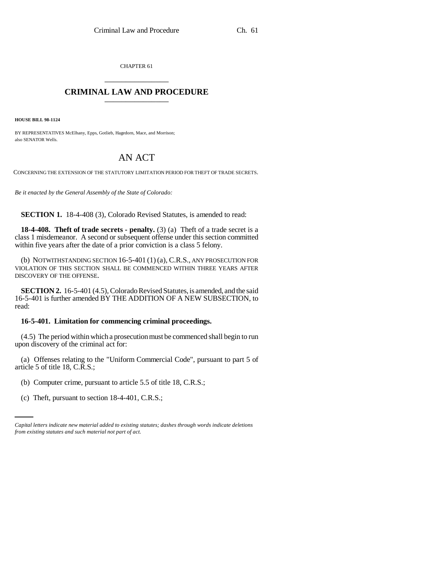CHAPTER 61 \_\_\_\_\_\_\_\_\_\_\_\_\_\_\_

## **CRIMINAL LAW AND PROCEDURE** \_\_\_\_\_\_\_\_\_\_\_\_\_\_\_

**HOUSE BILL 98-1124**

BY REPRESENTATIVES McElhany, Epps, Gotlieb, Hagedorn, Mace, and Morrison; also SENATOR Wells.

## AN ACT

CONCERNING THE EXTENSION OF THE STATUTORY LIMITATION PERIOD FOR THEFT OF TRADE SECRETS.

*Be it enacted by the General Assembly of the State of Colorado:*

**SECTION 1.** 18-4-408 (3), Colorado Revised Statutes, is amended to read:

**18-4-408. Theft of trade secrets - penalty.** (3) (a) Theft of a trade secret is a class 1 misdemeanor. A second or subsequent offense under this section committed within five years after the date of a prior conviction is a class 5 felony.

(b) NOTWITHSTANDING SECTION  $16-5-401(1)(a)$ , C.R.S., ANY PROSECUTION FOR VIOLATION OF THIS SECTION SHALL BE COMMENCED WITHIN THREE YEARS AFTER DISCOVERY OF THE OFFENSE.

**SECTION 2.** 16-5-401 (4.5), Colorado Revised Statutes, is amended, and the said 16-5-401 is further amended BY THE ADDITION OF A NEW SUBSECTION, to read:

## **16-5-401. Limitation for commencing criminal proceedings.**

(4.5) The period within which a prosecution must be commenced shall begin to run upon discovery of the criminal act for:

(a) Offenses relating to the "Uniform Commercial Code", pursuant to part 5 of article 5 of title 18, C.R.S.;

- (b) Computer crime, pursuant to article 5.5 of title 18, C.R.S.;
	- (c) Theft, pursuant to section 18-4-401, C.R.S.;

*Capital letters indicate new material added to existing statutes; dashes through words indicate deletions from existing statutes and such material not part of act.*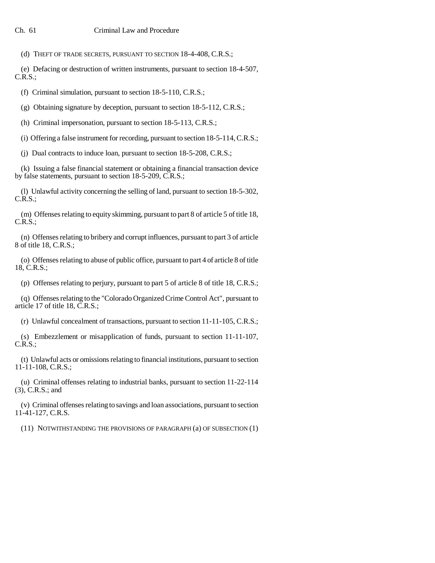(d) THEFT OF TRADE SECRETS, PURSUANT TO SECTION 18-4-408, C.R.S.;

(e) Defacing or destruction of written instruments, pursuant to section 18-4-507, C.R.S.;

(f) Criminal simulation, pursuant to section 18-5-110, C.R.S.;

(g) Obtaining signature by deception, pursuant to section 18-5-112, C.R.S.;

(h) Criminal impersonation, pursuant to section 18-5-113, C.R.S.;

(i) Offering a false instrument for recording, pursuant to section 18-5-114, C.R.S.;

(j) Dual contracts to induce loan, pursuant to section 18-5-208, C.R.S.;

(k) Issuing a false financial statement or obtaining a financial transaction device by false statements, pursuant to section 18-5-209, C.R.S.;

(l) Unlawful activity concerning the selling of land, pursuant to section 18-5-302, C.R.S.;

(m) Offenses relating to equity skimming, pursuant to part 8 of article 5 of title 18, C.R.S.;

(n) Offenses relating to bribery and corrupt influences, pursuant to part 3 of article 8 of title 18, C.R.S.;

(o) Offenses relating to abuse of public office, pursuant to part 4 of article 8 of title 18, C.R.S.;

(p) Offenses relating to perjury, pursuant to part 5 of article 8 of title 18, C.R.S.;

(q) Offenses relating to the "Colorado Organized Crime Control Act", pursuant to article 17 of title 18, C.R.S.;

(r) Unlawful concealment of transactions, pursuant to section 11-11-105, C.R.S.;

(s) Embezzlement or misapplication of funds, pursuant to section 11-11-107, C.R.S.;

(t) Unlawful acts or omissions relating to financial institutions, pursuant to section 11-11-108, C.R.S.;

(u) Criminal offenses relating to industrial banks, pursuant to section 11-22-114 (3), C.R.S.; and

(v) Criminal offenses relating to savings and loan associations, pursuant to section 11-41-127, C.R.S.

(11) NOTWITHSTANDING THE PROVISIONS OF PARAGRAPH (a) OF SUBSECTION (1)